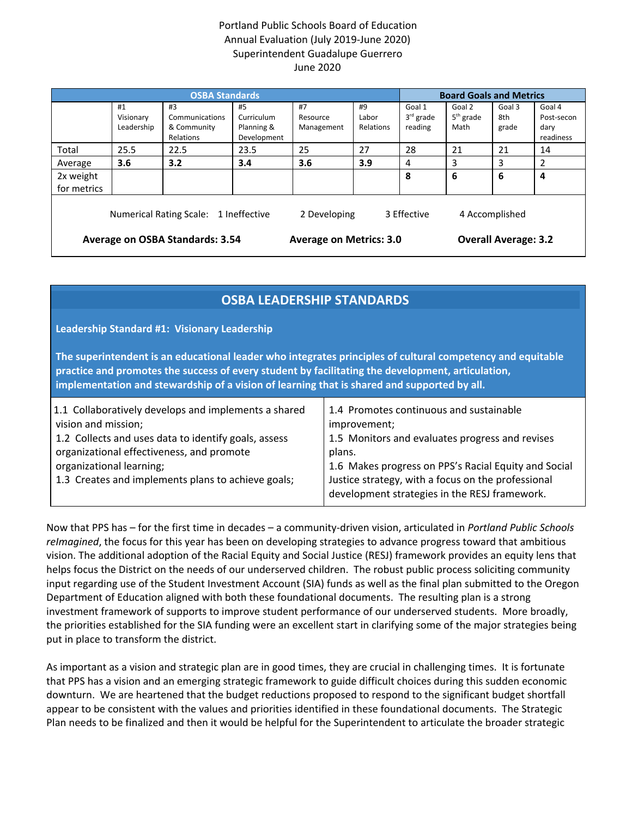## Portland Public Schools Board of Education Annual Evaluation (July 2019-June 2020) Superintendent Guadalupe Guerrero June 2020

| <b>OSBA Standards</b>                                                                  |            |                |                                |            |           | <b>Board Goals and Metrics</b> |             |        |                |
|----------------------------------------------------------------------------------------|------------|----------------|--------------------------------|------------|-----------|--------------------------------|-------------|--------|----------------|
|                                                                                        | #1         | #3             | #5                             | #7         | #9        | Goal 1                         | Goal 2      | Goal 3 | Goal 4         |
|                                                                                        | Visionary  | Communications | Curriculum                     | Resource   | Labor     | $3rd$ grade                    | $5th$ grade | 8th    | Post-secon     |
|                                                                                        | Leadership | & Community    | Planning &                     | Management | Relations | reading                        | Math        | grade  | dary           |
|                                                                                        |            | Relations      | Development                    |            |           |                                |             |        | readiness      |
| Total                                                                                  | 25.5       | 22.5           | 23.5                           | 25         | 27        | 28                             | 21          | 21     | 14             |
| Average                                                                                | 3.6        | 3.2            | 3.4                            | 3.6        | 3.9       | 4                              | 3           | 3      | $\overline{2}$ |
| 2x weight                                                                              |            |                |                                |            |           | 8                              | 6           | 6      | 4              |
| for metrics                                                                            |            |                |                                |            |           |                                |             |        |                |
| 2 Developing<br>3 Effective<br>Numerical Rating Scale: 1 Ineffective<br>4 Accomplished |            |                |                                |            |           |                                |             |        |                |
| Average on OSBA Standards: 3.54                                                        |            |                | <b>Average on Metrics: 3.0</b> |            |           | <b>Overall Average: 3.2</b>    |             |        |                |

# **OSBA LEADERSHIP STANDARDS**

**Leadership Standard #1: Visionary Leadership**

**The superintendent is an educational leader who integrates principles of cultural competency and equitable practice and promotes the success of every student by facilitating the development, articulation, implementation and stewardship of a vision of learning that is shared and supported by all.**

Now that PPS has – for the first time in decades – a community-driven vision, articulated in *Portland Public Schools reImagined*, the focus for this year has been on developing strategies to advance progress toward that ambitious vision. The additional adoption of the Racial Equity and Social Justice (RESJ) framework provides an equity lens that helps focus the District on the needs of our underserved children. The robust public process soliciting community input regarding use of the Student Investment Account (SIA) funds as well as the final plan submitted to the Oregon Department of Education aligned with both these foundational documents. The resulting plan is a strong investment framework of supports to improve student performance of our underserved students. More broadly, the priorities established for the SIA funding were an excellent start in clarifying some of the major strategies being put in place to transform the district.

As important as a vision and strategic plan are in good times, they are crucial in challenging times. It is fortunate that PPS has a vision and an emerging strategic framework to guide difficult choices during this sudden economic downturn. We are heartened that the budget reductions proposed to respond to the significant budget shortfall appear to be consistent with the values and priorities identified in these foundational documents. The Strategic Plan needs to be finalized and then it would be helpful for the Superintendent to articulate the broader strategic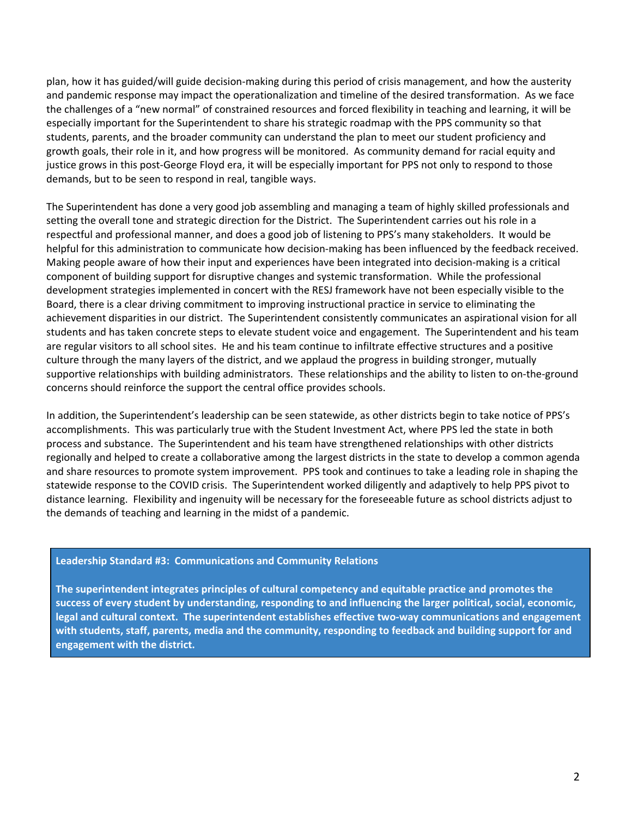plan, how it has guided/will guide decision-making during this period of crisis management, and how the austerity and pandemic response may impact the operationalization and timeline of the desired transformation. As we face the challenges of a "new normal" of constrained resources and forced flexibility in teaching and learning, it will be especially important for the Superintendent to share his strategic roadmap with the PPS community so that students, parents, and the broader community can understand the plan to meet our student proficiency and growth goals, their role in it, and how progress will be monitored. As community demand for racial equity and justice grows in this post-George Floyd era, it will be especially important for PPS not only to respond to those demands, but to be seen to respond in real, tangible ways.

The Superintendent has done a very good job assembling and managing a team of highly skilled professionals and setting the overall tone and strategic direction for the District. The Superintendent carries out his role in a respectful and professional manner, and does a good job of listening to PPS's many stakeholders. It would be helpful for this administration to communicate how decision-making has been influenced by the feedback received. Making people aware of how their input and experiences have been integrated into decision-making is a critical component of building support for disruptive changes and systemic transformation. While the professional development strategies implemented in concert with the RESJ framework have not been especially visible to the Board, there is a clear driving commitment to improving instructional practice in service to eliminating the achievement disparities in our district. The Superintendent consistently communicates an aspirational vision for all students and has taken concrete steps to elevate student voice and engagement. The Superintendent and his team are regular visitors to all school sites. He and his team continue to infiltrate effective structures and a positive culture through the many layers of the district, and we applaud the progress in building stronger, mutually supportive relationships with building administrators. These relationships and the ability to listen to on-the-ground concerns should reinforce the support the central office provides schools.

In addition, the Superintendent's leadership can be seen statewide, as other districts begin to take notice of PPS's accomplishments. This was particularly true with the Student Investment Act, where PPS led the state in both process and substance. The Superintendent and his team have strengthened relationships with other districts regionally and helped to create a collaborative among the largest districts in the state to develop a common agenda and share resources to promote system improvement. PPS took and continues to take a leading role in shaping the statewide response to the COVID crisis. The Superintendent worked diligently and adaptively to help PPS pivot to distance learning. Flexibility and ingenuity will be necessary for the foreseeable future as school districts adjust to the demands of teaching and learning in the midst of a pandemic.

#### **Leadership Standard #3: Communications and Community Relations**

**The superintendent integrates principles of cultural competency and equitable practice and promotes the success of every student by understanding, responding to and influencing the larger political, social, economic, legal and cultural context. The superintendent establishes effective two-way communications and engagement with students, staff, parents, media and the community, responding to feedback and building support for and engagement with the district.**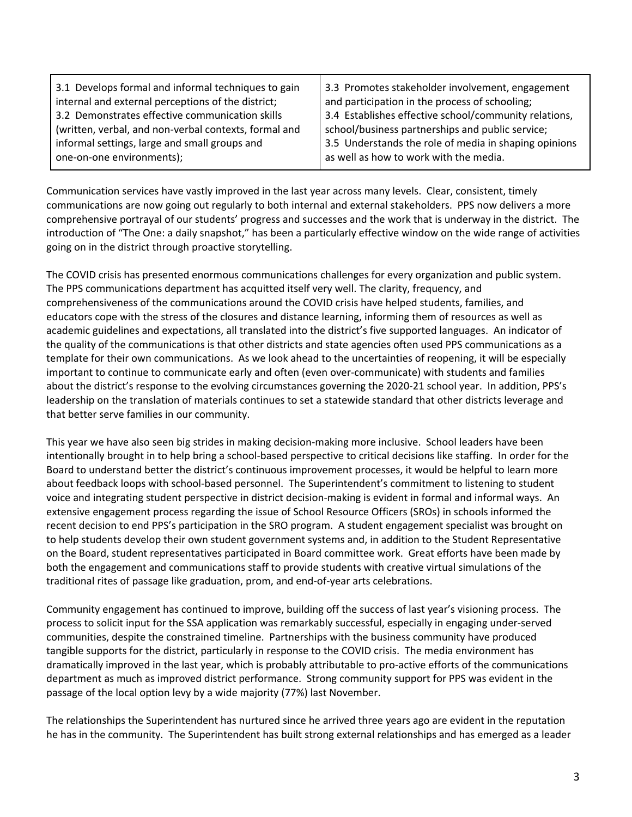| 3.1 Develops formal and informal techniques to gain   | 3.3 Promotes stakeholder involvement, engagement      |
|-------------------------------------------------------|-------------------------------------------------------|
| internal and external perceptions of the district;    | and participation in the process of schooling;        |
| 3.2 Demonstrates effective communication skills       | 3.4 Establishes effective school/community relations, |
| (written, verbal, and non-verbal contexts, formal and | school/business partnerships and public service;      |
| informal settings, large and small groups and         | 3.5 Understands the role of media in shaping opinions |
| one-on-one environments);                             | as well as how to work with the media.                |

Communication services have vastly improved in the last year across many levels. Clear, consistent, timely communications are now going out regularly to both internal and external stakeholders. PPS now delivers a more comprehensive portrayal of our students' progress and successes and the work that is underway in the district. The introduction of "The One: a daily snapshot," has been a particularly effective window on the wide range of activities going on in the district through proactive storytelling.

The COVID crisis has presented enormous communications challenges for every organization and public system. The PPS communications department has acquitted itself very well. The clarity, frequency, and comprehensiveness of the communications around the COVID crisis have helped students, families, and educators cope with the stress of the closures and distance learning, informing them of resources as well as academic guidelines and expectations, all translated into the district's five supported languages. An indicator of the quality of the communications is that other districts and state agencies often used PPS communications as a template for their own communications. As we look ahead to the uncertainties of reopening, it will be especially important to continue to communicate early and often (even over-communicate) with students and families about the district's response to the evolving circumstances governing the 2020-21 school year. In addition, PPS's leadership on the translation of materials continues to set a statewide standard that other districts leverage and that better serve families in our community.

This year we have also seen big strides in making decision-making more inclusive. School leaders have been intentionally brought in to help bring a school-based perspective to critical decisions like staffing. In order for the Board to understand better the district's continuous improvement processes, it would be helpful to learn more about feedback loops with school-based personnel. The Superintendent's commitment to listening to student voice and integrating student perspective in district decision-making is evident in formal and informal ways. An extensive engagement process regarding the issue of School Resource Officers (SROs) in schools informed the recent decision to end PPS's participation in the SRO program. A student engagement specialist was brought on to help students develop their own student government systems and, in addition to the Student Representative on the Board, student representatives participated in Board committee work. Great efforts have been made by both the engagement and communications staff to provide students with creative virtual simulations of the traditional rites of passage like graduation, prom, and end-of-year arts celebrations.

Community engagement has continued to improve, building off the success of last year's visioning process. The process to solicit input for the SSA application was remarkably successful, especially in engaging under-served communities, despite the constrained timeline. Partnerships with the business community have produced tangible supports for the district, particularly in response to the COVID crisis. The media environment has dramatically improved in the last year, which is probably attributable to pro-active efforts of the communications department as much as improved district performance. Strong community support for PPS was evident in the passage of the local option levy by a wide majority (77%) last November.

The relationships the Superintendent has nurtured since he arrived three years ago are evident in the reputation he has in the community. The Superintendent has built strong external relationships and has emerged as a leader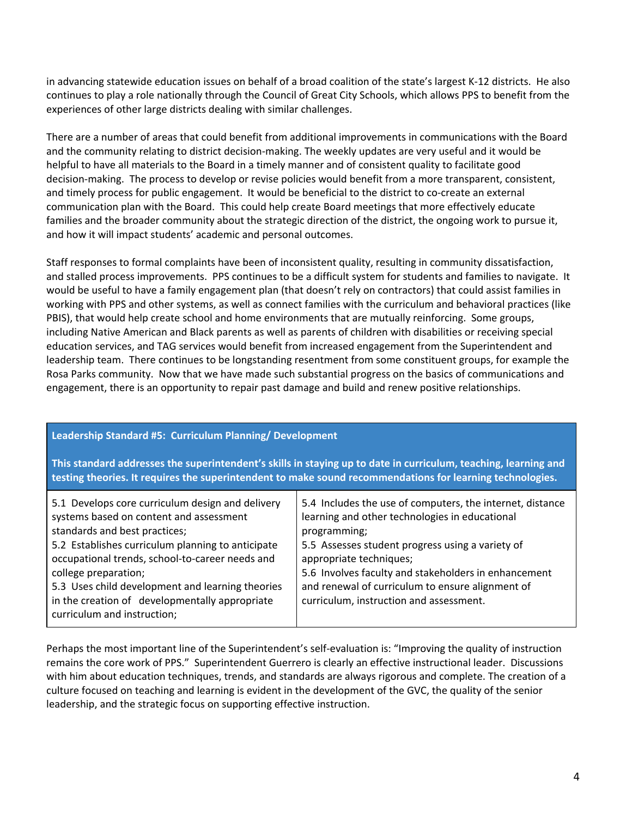in advancing statewide education issues on behalf of a broad coalition of the state's largest K-12 districts. He also continues to play a role nationally through the Council of Great City Schools, which allows PPS to benefit from the experiences of other large districts dealing with similar challenges.

There are a number of areas that could benefit from additional improvements in communications with the Board and the community relating to district decision-making. The weekly updates are very useful and it would be helpful to have all materials to the Board in a timely manner and of consistent quality to facilitate good decision-making. The process to develop or revise policies would benefit from a more transparent, consistent, and timely process for public engagement. It would be beneficial to the district to co-create an external communication plan with the Board. This could help create Board meetings that more effectively educate families and the broader community about the strategic direction of the district, the ongoing work to pursue it, and how it will impact students' academic and personal outcomes.

Staff responses to formal complaints have been of inconsistent quality, resulting in community dissatisfaction, and stalled process improvements. PPS continues to be a difficult system for students and families to navigate. It would be useful to have a family engagement plan (that doesn't rely on contractors) that could assist families in working with PPS and other systems, as well as connect families with the curriculum and behavioral practices (like PBIS), that would help create school and home environments that are mutually reinforcing. Some groups, including Native American and Black parents as well as parents of children with disabilities or receiving special education services, and TAG services would benefit from increased engagement from the Superintendent and leadership team. There continues to be longstanding resentment from some constituent groups, for example the Rosa Parks community. Now that we have made such substantial progress on the basics of communications and engagement, there is an opportunity to repair past damage and build and renew positive relationships.

## **Leadership Standard #5: Curriculum Planning/ Development**

**This standard addresses the superintendent's skills in staying up to date in curriculum, teaching, learning and testing theories. It requires the superintendent to make sound recommendations for learning technologies.**

| 5.1 Develops core curriculum design and delivery  | 5.4 Includes the use of computers, the internet, distance |
|---------------------------------------------------|-----------------------------------------------------------|
| systems based on content and assessment           | learning and other technologies in educational            |
| standards and best practices;                     | programming;                                              |
| 5.2 Establishes curriculum planning to anticipate | 5.5 Assesses student progress using a variety of          |
| occupational trends, school-to-career needs and   | appropriate techniques;                                   |
| college preparation;                              | 5.6 Involves faculty and stakeholders in enhancement      |
| 5.3 Uses child development and learning theories  | and renewal of curriculum to ensure alignment of          |
| in the creation of developmentally appropriate    | curriculum, instruction and assessment.                   |
| curriculum and instruction;                       |                                                           |

Perhaps the most important line of the Superintendent's self-evaluation is: "Improving the quality of instruction remains the core work of PPS." Superintendent Guerrero is clearly an effective instructional leader. Discussions with him about education techniques, trends, and standards are always rigorous and complete. The creation of a culture focused on teaching and learning is evident in the development of the GVC, the quality of the senior leadership, and the strategic focus on supporting effective instruction.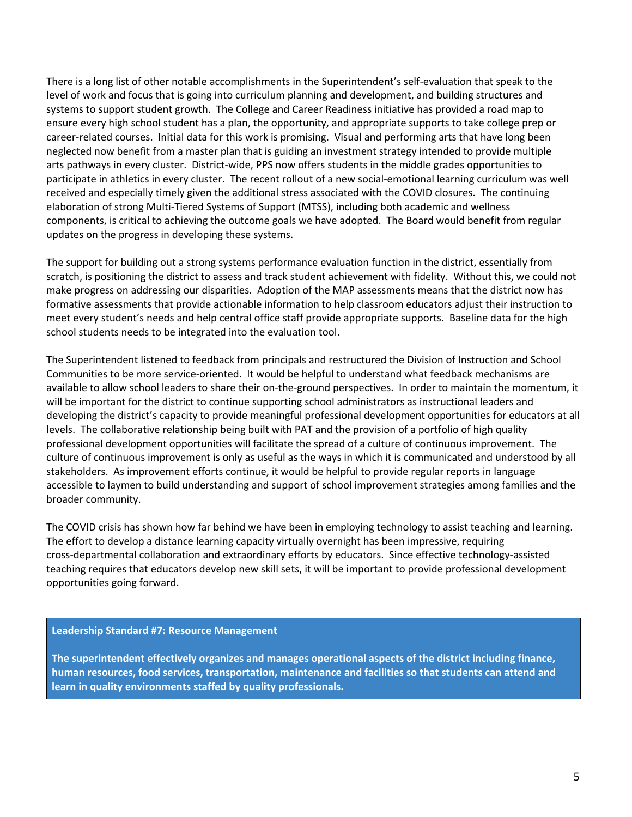There is a long list of other notable accomplishments in the Superintendent's self-evaluation that speak to the level of work and focus that is going into curriculum planning and development, and building structures and systems to support student growth. The College and Career Readiness initiative has provided a road map to ensure every high school student has a plan, the opportunity, and appropriate supports to take college prep or career-related courses. Initial data for this work is promising. Visual and performing arts that have long been neglected now benefit from a master plan that is guiding an investment strategy intended to provide multiple arts pathways in every cluster. District-wide, PPS now offers students in the middle grades opportunities to participate in athletics in every cluster. The recent rollout of a new social-emotional learning curriculum was well received and especially timely given the additional stress associated with the COVID closures. The continuing elaboration of strong Multi-Tiered Systems of Support (MTSS), including both academic and wellness components, is critical to achieving the outcome goals we have adopted. The Board would benefit from regular updates on the progress in developing these systems.

The support for building out a strong systems performance evaluation function in the district, essentially from scratch, is positioning the district to assess and track student achievement with fidelity. Without this, we could not make progress on addressing our disparities. Adoption of the MAP assessments means that the district now has formative assessments that provide actionable information to help classroom educators adjust their instruction to meet every student's needs and help central office staff provide appropriate supports. Baseline data for the high school students needs to be integrated into the evaluation tool.

The Superintendent listened to feedback from principals and restructured the Division of Instruction and School Communities to be more service-oriented. It would be helpful to understand what feedback mechanisms are available to allow school leaders to share their on-the-ground perspectives. In order to maintain the momentum, it will be important for the district to continue supporting school administrators as instructional leaders and developing the district's capacity to provide meaningful professional development opportunities for educators at all levels. The collaborative relationship being built with PAT and the provision of a portfolio of high quality professional development opportunities will facilitate the spread of a culture of continuous improvement. The culture of continuous improvement is only as useful as the ways in which it is communicated and understood by all stakeholders. As improvement efforts continue, it would be helpful to provide regular reports in language accessible to laymen to build understanding and support of school improvement strategies among families and the broader community.

The COVID crisis has shown how far behind we have been in employing technology to assist teaching and learning. The effort to develop a distance learning capacity virtually overnight has been impressive, requiring cross-departmental collaboration and extraordinary efforts by educators. Since effective technology-assisted teaching requires that educators develop new skill sets, it will be important to provide professional development opportunities going forward.

#### **Leadership Standard #7: Resource Management**

**The superintendent effectively organizes and manages operational aspects of the district including finance, human resources, food services, transportation, maintenance and facilities so that students can attend and learn in quality environments staffed by quality professionals.**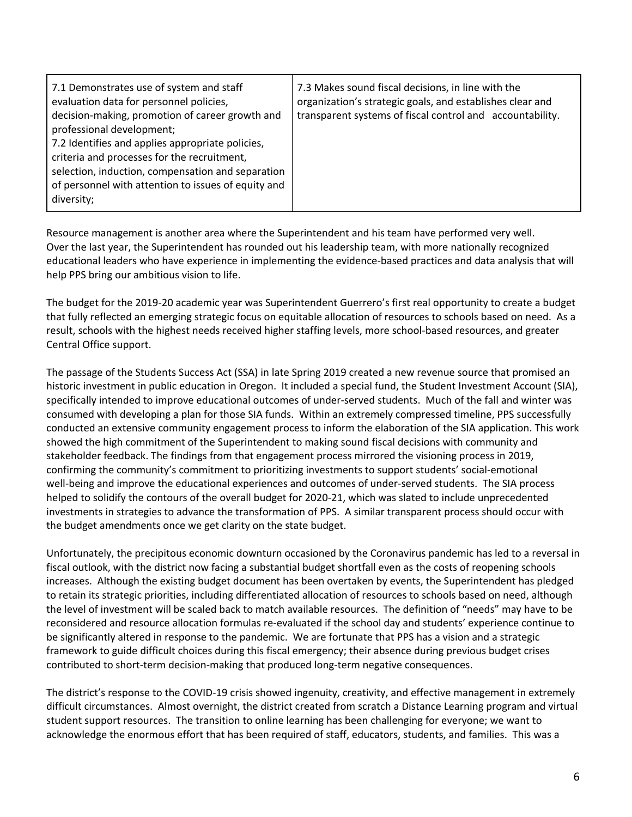| 7.1 Demonstrates use of system and staff<br>evaluation data for personnel policies,<br>decision-making, promotion of career growth and<br>professional development;<br>7.2 Identifies and applies appropriate policies,<br>criteria and processes for the recruitment,<br>selection, induction, compensation and separation<br>of personnel with attention to issues of equity and | 7.3 Makes sound fiscal decisions, in line with the<br>organization's strategic goals, and establishes clear and<br>transparent systems of fiscal control and accountability. |
|------------------------------------------------------------------------------------------------------------------------------------------------------------------------------------------------------------------------------------------------------------------------------------------------------------------------------------------------------------------------------------|------------------------------------------------------------------------------------------------------------------------------------------------------------------------------|
| diversity;                                                                                                                                                                                                                                                                                                                                                                         |                                                                                                                                                                              |

Resource management is another area where the Superintendent and his team have performed very well. Over the last year, the Superintendent has rounded out his leadership team, with more nationally recognized educational leaders who have experience in implementing the evidence-based practices and data analysis that will help PPS bring our ambitious vision to life.

The budget for the 2019-20 academic year was Superintendent Guerrero's first real opportunity to create a budget that fully reflected an emerging strategic focus on equitable allocation of resources to schools based on need. As a result, schools with the highest needs received higher staffing levels, more school-based resources, and greater Central Office support.

The passage of the Students Success Act (SSA) in late Spring 2019 created a new revenue source that promised an historic investment in public education in Oregon. It included a special fund, the Student Investment Account (SIA), specifically intended to improve educational outcomes of under-served students. Much of the fall and winter was consumed with developing a plan for those SIA funds. Within an extremely compressed timeline, PPS successfully conducted an extensive community engagement process to inform the elaboration of the SIA application. This work showed the high commitment of the Superintendent to making sound fiscal decisions with community and stakeholder feedback. The findings from that engagement process mirrored the visioning process in 2019, confirming the community's commitment to prioritizing investments to support students' social-emotional well-being and improve the educational experiences and outcomes of under-served students. The SIA process helped to solidify the contours of the overall budget for 2020-21, which was slated to include unprecedented investments in strategies to advance the transformation of PPS. A similar transparent process should occur with the budget amendments once we get clarity on the state budget.

Unfortunately, the precipitous economic downturn occasioned by the Coronavirus pandemic has led to a reversal in fiscal outlook, with the district now facing a substantial budget shortfall even as the costs of reopening schools increases. Although the existing budget document has been overtaken by events, the Superintendent has pledged to retain its strategic priorities, including differentiated allocation of resources to schools based on need, although the level of investment will be scaled back to match available resources. The definition of "needs" may have to be reconsidered and resource allocation formulas re-evaluated if the school day and students' experience continue to be significantly altered in response to the pandemic. We are fortunate that PPS has a vision and a strategic framework to guide difficult choices during this fiscal emergency; their absence during previous budget crises contributed to short-term decision-making that produced long-term negative consequences.

The district's response to the COVID-19 crisis showed ingenuity, creativity, and effective management in extremely difficult circumstances. Almost overnight, the district created from scratch a Distance Learning program and virtual student support resources. The transition to online learning has been challenging for everyone; we want to acknowledge the enormous effort that has been required of staff, educators, students, and families. This was a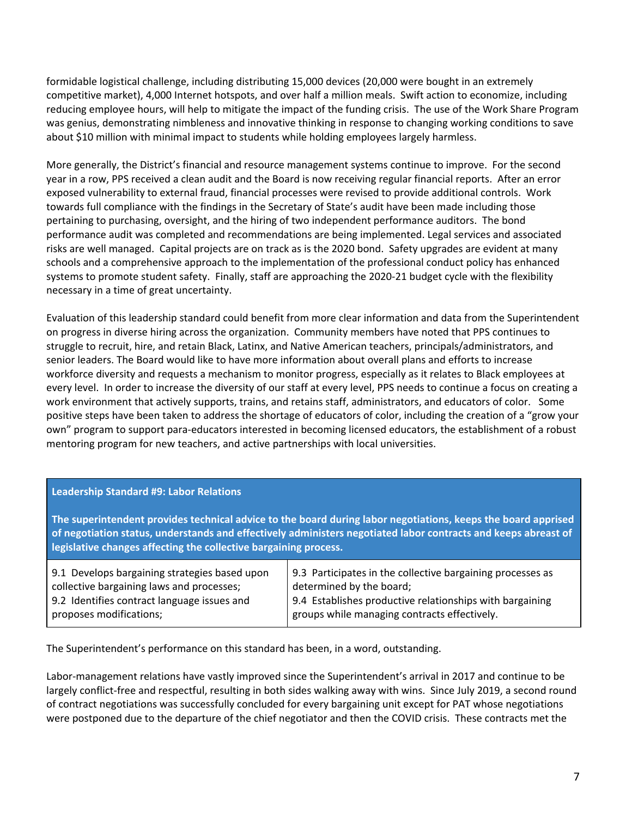formidable logistical challenge, including distributing 15,000 devices (20,000 were bought in an extremely competitive market), 4,000 Internet hotspots, and over half a million meals. Swift action to economize, including reducing employee hours, will help to mitigate the impact of the funding crisis. The use of the Work Share Program was genius, demonstrating nimbleness and innovative thinking in response to changing working conditions to save about \$10 million with minimal impact to students while holding employees largely harmless.

More generally, the District's financial and resource management systems continue to improve. For the second year in a row, PPS received a clean audit and the Board is now receiving regular financial reports. After an error exposed vulnerability to external fraud, financial processes were revised to provide additional controls. Work towards full compliance with the findings in the Secretary of State's audit have been made including those pertaining to purchasing, oversight, and the hiring of two independent performance auditors. The bond performance audit was completed and recommendations are being implemented. Legal services and associated risks are well managed. Capital projects are on track as is the 2020 bond. Safety upgrades are evident at many schools and a comprehensive approach to the implementation of the professional conduct policy has enhanced systems to promote student safety. Finally, staff are approaching the 2020-21 budget cycle with the flexibility necessary in a time of great uncertainty.

Evaluation of this leadership standard could benefit from more clear information and data from the Superintendent on progress in diverse hiring across the organization. Community members have noted that PPS continues to struggle to recruit, hire, and retain Black, Latinx, and Native American teachers, principals/administrators, and senior leaders. The Board would like to have more information about overall plans and efforts to increase workforce diversity and requests a mechanism to monitor progress, especially as it relates to Black employees at every level. In order to increase the diversity of our staff at every level, PPS needs to continue a focus on creating a work environment that actively supports, trains, and retains staff, administrators, and educators of color. Some positive steps have been taken to address the shortage of educators of color, including the creation of a "grow your own" program to support para-educators interested in becoming licensed educators, the establishment of a robust mentoring program for new teachers, and active partnerships with local universities.

#### **Leadership Standard #9: Labor Relations**

**The superintendent provides technical advice to the board during labor negotiations, keeps the board apprised of negotiation status, understands and effectively administers negotiated labor contracts and keeps abreast of legislative changes affecting the collective bargaining process.**

| 9.1 Develops bargaining strategies based upon | 9.3 Participates in the collective bargaining processes as |  |  |  |
|-----------------------------------------------|------------------------------------------------------------|--|--|--|
| collective bargaining laws and processes;     | determined by the board;                                   |  |  |  |
| 9.2 Identifies contract language issues and   | 9.4 Establishes productive relationships with bargaining   |  |  |  |
| proposes modifications;                       | groups while managing contracts effectively.               |  |  |  |
|                                               |                                                            |  |  |  |

The Superintendent's performance on this standard has been, in a word, outstanding.

Labor-management relations have vastly improved since the Superintendent's arrival in 2017 and continue to be largely conflict-free and respectful, resulting in both sides walking away with wins. Since July 2019, a second round of contract negotiations was successfully concluded for every bargaining unit except for PAT whose negotiations were postponed due to the departure of the chief negotiator and then the COVID crisis. These contracts met the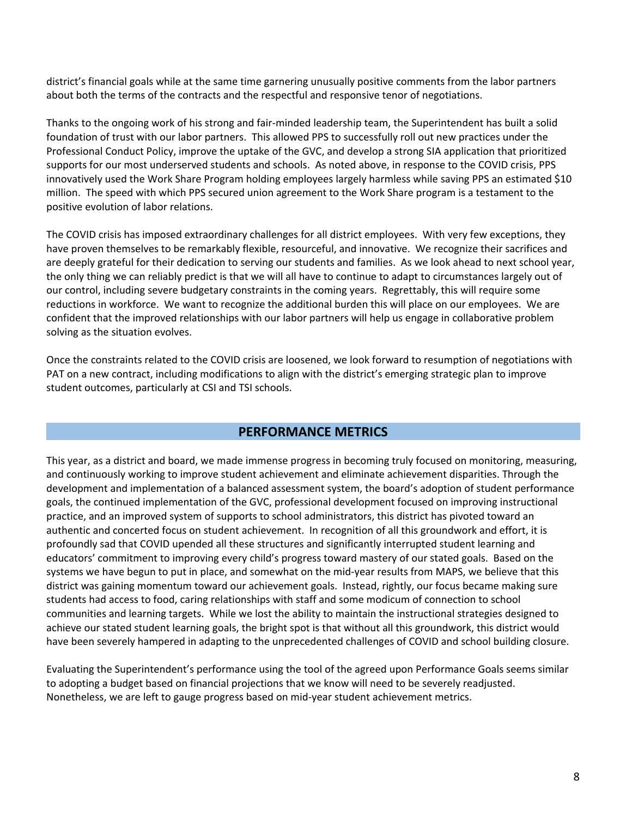district's financial goals while at the same time garnering unusually positive comments from the labor partners about both the terms of the contracts and the respectful and responsive tenor of negotiations.

Thanks to the ongoing work of his strong and fair-minded leadership team, the Superintendent has built a solid foundation of trust with our labor partners. This allowed PPS to successfully roll out new practices under the Professional Conduct Policy, improve the uptake of the GVC, and develop a strong SIA application that prioritized supports for our most underserved students and schools. As noted above, in response to the COVID crisis, PPS innovatively used the Work Share Program holding employees largely harmless while saving PPS an estimated \$10 million. The speed with which PPS secured union agreement to the Work Share program is a testament to the positive evolution of labor relations.

The COVID crisis has imposed extraordinary challenges for all district employees. With very few exceptions, they have proven themselves to be remarkably flexible, resourceful, and innovative. We recognize their sacrifices and are deeply grateful for their dedication to serving our students and families. As we look ahead to next school year, the only thing we can reliably predict is that we will all have to continue to adapt to circumstances largely out of our control, including severe budgetary constraints in the coming years. Regrettably, this will require some reductions in workforce. We want to recognize the additional burden this will place on our employees. We are confident that the improved relationships with our labor partners will help us engage in collaborative problem solving as the situation evolves.

Once the constraints related to the COVID crisis are loosened, we look forward to resumption of negotiations with PAT on a new contract, including modifications to align with the district's emerging strategic plan to improve student outcomes, particularly at CSI and TSI schools.

## **PERFORMANCE METRICS**

This year, as a district and board, we made immense progress in becoming truly focused on monitoring, measuring, and continuously working to improve student achievement and eliminate achievement disparities. Through the development and implementation of a balanced assessment system, the board's adoption of student performance goals, the continued implementation of the GVC, professional development focused on improving instructional practice, and an improved system of supports to school administrators, this district has pivoted toward an authentic and concerted focus on student achievement. In recognition of all this groundwork and effort, it is profoundly sad that COVID upended all these structures and significantly interrupted student learning and educators' commitment to improving every child's progress toward mastery of our stated goals. Based on the systems we have begun to put in place, and somewhat on the mid-year results from MAPS, we believe that this district was gaining momentum toward our achievement goals. Instead, rightly, our focus became making sure students had access to food, caring relationships with staff and some modicum of connection to school communities and learning targets. While we lost the ability to maintain the instructional strategies designed to achieve our stated student learning goals, the bright spot is that without all this groundwork, this district would have been severely hampered in adapting to the unprecedented challenges of COVID and school building closure.

Evaluating the Superintendent's performance using the tool of the agreed upon Performance Goals seems similar to adopting a budget based on financial projections that we know will need to be severely readjusted. Nonetheless, we are left to gauge progress based on mid-year student achievement metrics.